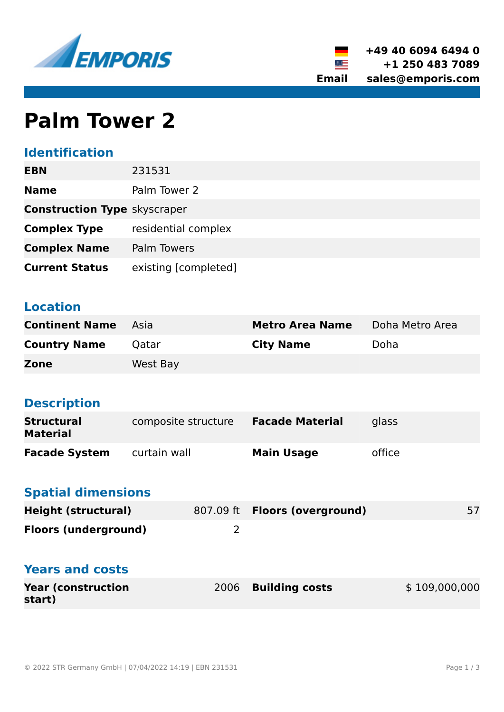



# **Palm Tower 2**

## **Identification**

| <b>EBN</b>                          | 231531               |
|-------------------------------------|----------------------|
| <b>Name</b>                         | Palm Tower 2         |
| <b>Construction Type skyscraper</b> |                      |
| <b>Complex Type</b>                 | residential complex  |
| <b>Complex Name</b>                 | Palm Towers          |
| <b>Current Status</b>               | existing [completed] |

### **Location**

| <b>Continent Name</b> Asia |          | <b>Metro Area Name</b> | Doha Metro Area |
|----------------------------|----------|------------------------|-----------------|
| <b>Country Name</b>        | Qatar    | <b>City Name</b>       | Doha            |
| <b>Zone</b>                | West Bay |                        |                 |

## **Description**

| <b>Structural</b><br><b>Material</b> | composite structure | <b>Facade Material</b> | glass  |
|--------------------------------------|---------------------|------------------------|--------|
| <b>Facade System</b>                 | curtain wall        | <b>Main Usage</b>      | office |

## **Spatial dimensions**

| Height (structural)         | 807.09 ft <b>Floors (overground)</b> |  |
|-----------------------------|--------------------------------------|--|
| <b>Floors (underground)</b> |                                      |  |

#### **Years and costs**

| <b>Year (construction)</b> | 2006 Building costs | \$109,000,000 |
|----------------------------|---------------------|---------------|
| start)                     |                     |               |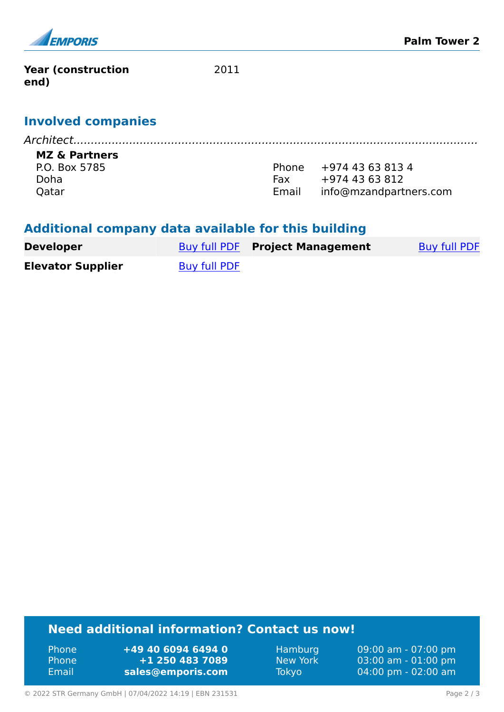

**Year (construction end)**

2011

#### **Involved companies**

*Architect....................................................................................................................*

#### **MZ & Partners**

P.O. Box 5785 Doha **Oatar** 

Phone +974 43 63 813 4 Fax +974 43 63 812 Email info@mzandpartners.com

#### **Additional company data available for this building**

| <b>Developer</b>         |              | <b>Buy full PDF</b> Project Management | Buy full PDF |
|--------------------------|--------------|----------------------------------------|--------------|
| <b>Elevator Supplier</b> | Buy full PDF |                                        |              |

#### **Need additional information? Contact us now!**

Phone **+49 40 6094 6494 0** Phone **+1 250 483 7089** Email **<sales@emporis.com>**

Hamburg 09:00 am - 07:00 pm New York 03:00 am - 01:00 pm Tokyo 04:00 pm - 02:00 am